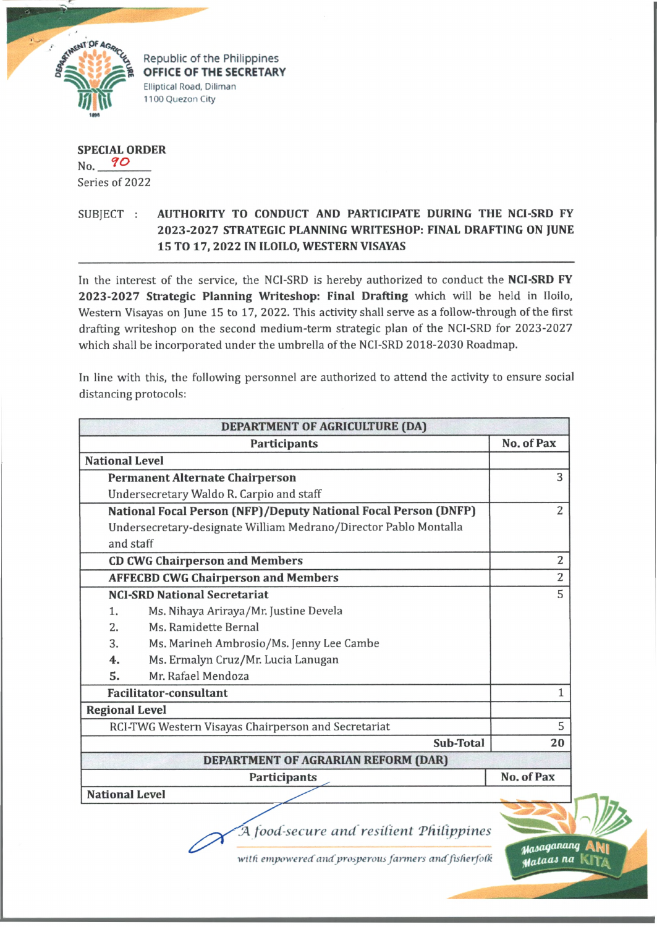

Republic of the Philippines **OFFICE OF THE SECRETARY Elliptical Road, Diliman 1100 Quezon City**

**SPECIAL ORDER** No. 90 Series of 2022

## SUBJECT : **AUTHORITY TO CONDUCT AND PARTICIPATE DURING THE NCI-SRD FY 2023-2027 STRATEGIC PLANNING WRITESHOP: FINAL DRAFTING ON JUNE 15 TO 17, 2022 IN ILOILO, WESTERN VISAYAS**

In the interest of the service, the NCI-SRD is hereby authorized to conduct the **NCI-SRD FY 2023-2027 Strategic Planning Writeshop: Final Drafting** which will be held in Iloilo, Western Visayas on June 15 to 17, 2022. This activity shall serve as a follow-through of the first drafting writeshop on the second medium-term strategic plan of the NCI-SRD for 2023-2027 which shall be incorporated under the umbrella of the NCI-SRD 2018-2030 Roadmap.

In line with this, the following personnel are authorized to attend the activity to ensure social distancing protocols:

|                                                     | <b>Participants</b>                                              | No. of Pax     |
|-----------------------------------------------------|------------------------------------------------------------------|----------------|
| <b>National Level</b>                               |                                                                  |                |
|                                                     | <b>Permanent Alternate Chairperson</b>                           | 3              |
|                                                     | Undersecretary Waldo R. Carpio and staff                         |                |
|                                                     | National Focal Person (NFP)/Deputy National Focal Person (DNFP)  | $\overline{2}$ |
|                                                     | Undersecretary-designate William Medrano/Director Pablo Montalla |                |
| and staff                                           |                                                                  |                |
|                                                     | <b>CD CWG Chairperson and Members</b>                            | $\overline{2}$ |
|                                                     | <b>AFFECBD CWG Chairperson and Members</b>                       | $\overline{2}$ |
|                                                     | <b>NCI-SRD National Secretariat</b>                              | 5              |
| 1.                                                  | Ms. Nihaya Ariraya/Mr. Justine Devela                            |                |
| 2.                                                  | Ms. Ramidette Bernal                                             |                |
| 3.                                                  | Ms. Marineh Ambrosio/Ms. Jenny Lee Cambe                         |                |
| 4.                                                  | Ms. Ermalyn Cruz/Mr. Lucia Lanugan                               |                |
| 5.                                                  | Mr. Rafael Mendoza                                               |                |
|                                                     | <b>Facilitator-consultant</b>                                    | 1              |
| <b>Regional Level</b>                               |                                                                  |                |
| RCI-TWG Western Visayas Chairperson and Secretariat |                                                                  | 5              |
|                                                     | Sub-Total                                                        | 20             |
|                                                     | DEPARTMENT OF AGRARIAN REFORM (DAR)                              |                |
|                                                     | Participants                                                     | No. of Pax     |
|                                                     | <b>National Level</b>                                            |                |

*witfi empowered and prosperous farmers andfisfierfofti*

**M**ataas na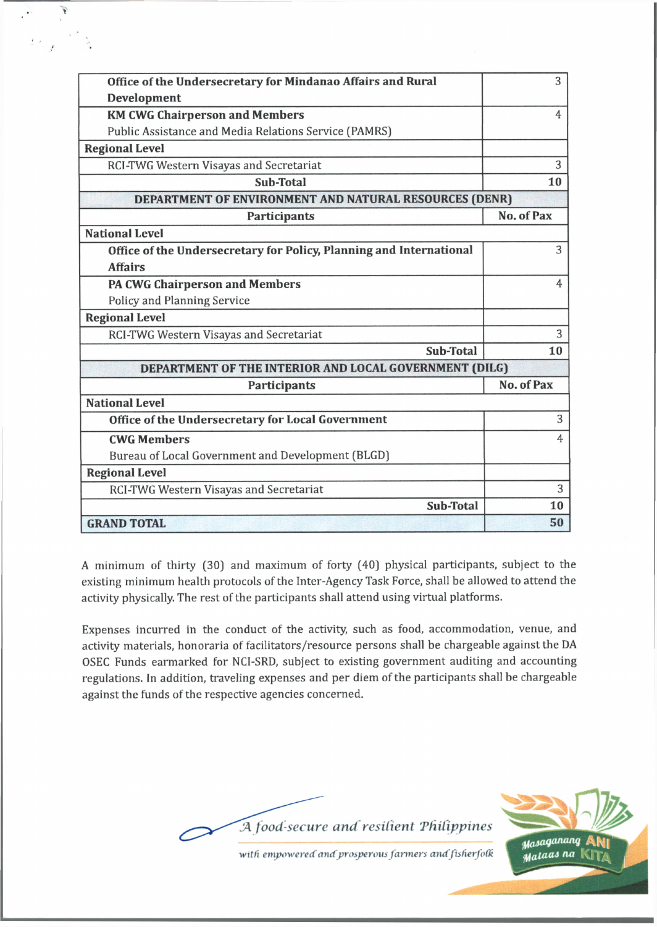| Office of the Undersecretary for Mindanao Affairs and Rural         | 3                 |
|---------------------------------------------------------------------|-------------------|
| Development                                                         |                   |
| <b>KM CWG Chairperson and Members</b>                               | 4                 |
| Public Assistance and Media Relations Service (PAMRS)               |                   |
| <b>Regional Level</b>                                               |                   |
| RCI-TWG Western Visayas and Secretariat                             | 3                 |
| Sub-Total                                                           | 10                |
| DEPARTMENT OF ENVIRONMENT AND NATURAL RESOURCES (DENR)              |                   |
| <b>Participants</b>                                                 | No. of Pax        |
| <b>National Level</b>                                               |                   |
| Office of the Undersecretary for Policy, Planning and International | 3                 |
| <b>Affairs</b>                                                      |                   |
| <b>PA CWG Chairperson and Members</b>                               | 4                 |
| <b>Policy and Planning Service</b>                                  |                   |
| <b>Regional Level</b>                                               |                   |
| RCI-TWG Western Visayas and Secretariat                             | 3                 |
| Sub-Total                                                           | 10                |
| DEPARTMENT OF THE INTERIOR AND LOCAL GOVERNMENT (DILG)              |                   |
| Participants                                                        | <b>No. of Pax</b> |
| <b>National Level</b>                                               |                   |
| Office of the Undersecretary for Local Government                   | 3                 |
| <b>CWG Members</b>                                                  | 4                 |
| Bureau of Local Government and Development (BLGD)                   |                   |
| <b>Regional Level</b>                                               |                   |
| RCI-TWG Western Visayas and Secretariat                             | 3                 |
| <b>Sub-Total</b>                                                    | 10                |
| <b>GRAND TOTAL</b>                                                  | 50                |

î,

A minimum of thirty (30] and maximum of forty (40] physical participants, subject to the existing minimum health protocols of the Inter-Agency Task Force, shall be allowed to attend the activity physically. The rest of the participants shall attend using virtual platforms.

Expenses incurred in the conduct of the activity, such as food, accommodation, venue, and activity materials, honoraria of facilitators/resource persons shall be chargeable against the DA OSEC Funds earmarked for NCI-SRD, subject to existing government auditing and accounting regulations. In addition, traveling expenses and per diem of the participants shall be chargeable against the funds of the respective agencies concerned.



Masaganang Mataas na K

*witfi empowered and prosperous fanners andfisfierfotk*